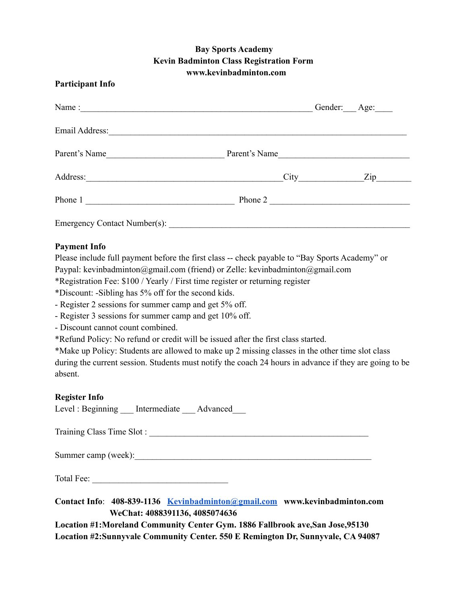## **Bay Sports Academy Kevin Badminton Class Registration Form www.kevinbadminton.com**

### **Participant Info**

|                              |               | Gender: Age:   |
|------------------------------|---------------|----------------|
|                              |               |                |
| Parent's Name                | Parent's Name |                |
| Address:                     |               | $\mathbf{Zip}$ |
| Phone 1                      | Phone 2       |                |
| Emergency Contact Number(s): |               |                |

### **Payment Info**

Please include full payment before the first class -- check payable to "Bay Sports Academy" or Paypal: kevinbadminton@gmail.com (friend) or Zelle: kevinbadminton@gmail.com

\*Registration Fee: \$100 / Yearly / First time register or returning register

\*Discount: -Sibling has 5% off for the second kids.

- Register 2 sessions for summer camp and get 5% off.

- Register 3 sessions for summer camp and get 10% off.

- Discount cannot count combined.

\*Refund Policy: No refund or credit will be issued after the first class started.

\*Make up Policy: Students are allowed to make up 2 missing classes in the other time slot class during the current session. Students must notify the coach 24 hours in advance if they are going to be absent.

#### **Register Info**

Level : Beginning Lettermediate Advanced

Training Class Time Slot : \_\_\_\_\_\_\_\_\_\_\_\_\_\_\_\_\_\_\_\_\_\_\_\_\_\_\_\_\_\_\_\_\_\_\_\_\_\_\_\_\_\_\_\_\_\_\_\_\_\_

Summer camp (week):

Total Fee:

**Contact Info**: **408-839-1136 [Kevinbadminton@gmail.com](mailto:Kevinbadminton@gmail.com) www.kevinbadminton.com WeChat: 4088391136, 4085074636**

**Location #1:Moreland Community Center Gym. 1886 Fallbrook ave,San Jose,95130 Location #2:Sunnyvale Community Center. 550 E Remington Dr, Sunnyvale, CA 94087**